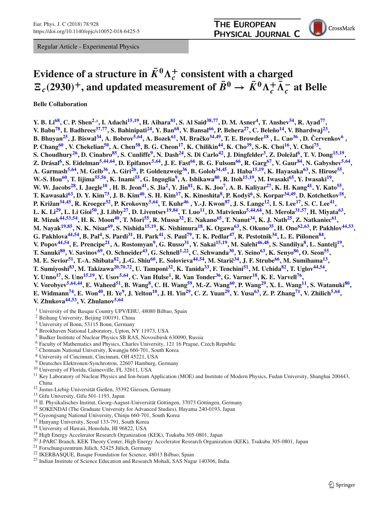Regular Article - Experimental Physics



## **Evidence of a structure in**  $\bar{K}^0 \Lambda_c^+$  **consistent with a charged**  $E_c(2930)^+$ , and updated measurement of  $\bar{B}^0 \to \bar{K}^0 \Lambda_c^+ \bar{\Lambda}_c^-$  at Belle

**Belle Collaboration**

Y. B. Li<sup>68</sup>, C. P. Shen<sup>2,a</sup>, I. Adachi<sup>[15](#page-0-1),19</sup>, H. Aihara<sup>81</sup>, S. Al Said<sup>38,77</sup>, D. M. Asner<sup>4</sup>, T. Aushev<sup>54</sup>, R. Ayad<sup>77</sup>, V. Babu<sup>78</sup>, I. Badhrees<sup>37,77</sup>, S. Bahinipati<sup>24</sup>, Y. Ban<sup>68</sup>, V. Bansal<sup>66</sup>, P. Behera<sup>27</sup>, C. Beleño<sup>14</sup>, V. Bhardwaj<sup>23</sup>, B. Bhuyan<sup>25</sup>, J. Biswal<sup>34</sup>, A. Bobrov<sup>5,64</sup>, A. Bozek<sup>61</sup>, M. Bračko<sup>34,49</sup>, T. E. Browder<sup>18</sup>, L. Cao<sup>[36](#page-1-14)</sup>, D. Červenkov<sup>[6](#page-0-9)</sup>, **P. Chang[60](#page-1-15) , V. Chekelian[50,](#page-1-16) A. Che[n58,](#page-1-17) B. G. Cheo[n17,](#page-0-10) K. Chiliki[n44,](#page-1-18) K. Ch[o39,](#page-1-19) S.-K. Cho[i16,](#page-0-11) Y. Cho[i75,](#page-1-20)** S. Choudhury<sup>26</sup>, D. Cinabro<sup>85</sup>, S. Cunliffe<sup>9</sup>, N. Dash<sup>24</sup>, S. Di Carlo<sup>42</sup>, J. Dingfelder<sup>3</sup>, Z. Doležal<sup>6</sup>, T. V. Dong<sup>15,19</sup>, Z. Drásal<sup>6</sup>, S. Eidelman<sup>5[,44](#page-1-18),64</sup>, D. Epifanov<sup>5,64</sup>, J. E. Fast<sup>66</sup>, B. G. Fulsom<sup>66</sup>, R. Garg<sup>67</sup>, V. Gaur<sup>84</sup>, N. Gabyshev<sup>5,64</sup>, A. Garmash<sup>[5](#page-0-7),64</sup>, M. Gelb<sup>36</sup>, A. Giri<sup>26</sup>, P. Goldenzweig<sup>36</sup>, B. Golob<sup>34,45</sup>, J. Haba<sup>15,19</sup>, K. Hayasaka<sup>63</sup>, S. Hirose<sup>55</sup>, W.-S. Hou<sup>60</sup>, T. Iijima<sup>55,56</sup>, K. Inami<sup>55</sup>, G. Inguglia<sup>9</sup>, A. Ishikawa<sup>80</sup>, R. Itoh<sup>15,19</sup>, M. Iwasaki<sup>65</sup>, Y. Iwasaki<sup>19</sup>, W. W. Jacobs<sup>28</sup>, I. Jaegle<sup>10</sup>, H. B. Jeon<sup>41</sup>, S. Jia<sup>2</sup>, Y. Jin<sup>81</sup>, K. K. Joo<sup>7</sup>, A. B. Kalivar<sup>27</sup>, K. H. Kang<sup>41</sup>, Y. Kato<sup>55</sup> T. Kawasaki<sup>63</sup>, D. Y. Kim<sup>73</sup>, J. B. Kim<sup>40</sup>, S. H. Kim<sup>17</sup>, K. Kinoshita<sup>8</sup>, P. Kodyš<sup>6</sup>, S. Korpar<sup>34,49</sup>, D. Kotchetkov<sup>18</sup>, P. Križan<sup>[34](#page-1-10),45</sup>, R. Kroeger<sup>52</sup>, P. Krokovny<sup>5,64</sup>, T. Kuhr<sup>46</sup>, Y.-J. Kwon<sup>87</sup>, J. S. Lange<sup>12</sup>, I. S. Lee<sup>17</sup>, S. C. Lee<sup>41</sup>, L. K. Li<sup>29</sup>, L. Li Gioi<sup>50</sup>, J. Libby<sup>27</sup>, D. Liventsev<sup>19,84</sup>, T. Luo<sup>11</sup>, D. Matvienko<sup>5[,44](#page-1-18),64</sup>, M. Merola<sup>31,57</sup>, H. Miyata<sup>63</sup>, R. Mizuk<sup>[44](#page-1-18)[,53](#page-1-42),54</sup>, H. K. Moon<sup>40</sup>, T. Mori<sup>55</sup>, R. Mussa<sup>32</sup>, E. Nakano<sup>65</sup>, T. Nanut<sup>34</sup>, K. J. Nath<sup>25</sup>, Z. Natkaniec<sup>61</sup>, M. Nayak<sup>[19](#page-0-2),85</sup>, N. K. Nisar<sup>69</sup>, S. Nishida<sup>15,19</sup>, K. Nishimura<sup>18</sup>, K. Ogawa<sup>63</sup>, S. Okuno<sup>35</sup>, H. Ono<sup>62,63</sup>, P. Pakhlov<sup>44,53</sup>, G. Pakhlova<sup>[44](#page-1-18),54</sup>, B. Pal<sup>4</sup>, S. Pardi<sup>31</sup>, H. Park<sup>41</sup>, S. Paul<sup>79</sup>, T. K. Pedlar<sup>47</sup>, R. Pestotnik<sup>34</sup>, L. E. Piilonen<sup>84</sup>, V. Popov<sup>[44](#page-1-18),54</sup>, E. Prencipe<sup>21</sup>, A. Rostomyan<sup>9</sup>, G. Russo<sup>31</sup>, Y. Sakai<sup>15,19</sup>, M. Salehi<sup>46,48</sup>, S. Sandilya<sup>8</sup>, L. Santelj<sup>19</sup>, T. Sanuki<sup>80</sup>, V. Savinov<sup>69</sup>, O. Schneider<sup>43</sup>, G. Schnell<sup>1,22</sup>, C. Schwanda<sup>30</sup>, Y. Seino<sup>63</sup>, K. Senyo<sup>86</sup>, O. Seon<sup>55</sup>, **M. E. Sevior[51,](#page-1-53) T.-A. Shibat[a82,](#page-1-54) J.-G. Shi[u60,](#page-1-15) E. Soloviev[a44](#page-1-18)[,54,](#page-1-4) M. Stari[ˇc34,](#page-1-10) J. F. Strub[e66,](#page-1-7) M. Sumiham[a13,](#page-0-21)** T. Sumiyoshi<sup>83</sup>, M. Takizawa<sup>20[,70](#page-1-56),72</sup>, U. Tamponi<sup>32</sup>, K. Tanida<sup>33</sup>, F. Tenchini<sup>51</sup>, M. Uchida<sup>82</sup>, T. Uglov<sup>44,54</sup>, **Y. Unno[17,](#page-0-10) S. Un[o15](#page-0-1)[,19,](#page-0-2) Y. Uso[v5](#page-0-7)[,64,](#page-1-11) C. Van Huls[e1,](#page-0-0) R. Van Tonde[r36,](#page-1-14) G. Varne[r18,](#page-0-8) K. E. Varvel[l76,](#page-1-59)** V. Vorobyev<sup>[5](#page-0-7)[,64](#page-1-11),44</sup>, E. Waheed<sup>51</sup>, B. Wang<sup>8</sup>, C. H. Wang<sup>59</sup>, M.-Z. Wang<sup>60</sup>, P. Wang<sup>29</sup>, X. L. Wang<sup>11</sup>, S. Watanuki<sup>80</sup>, E. Widmann<sup>74</sup>, E. Won<sup>40</sup>, H. Ye<sup>9</sup>, J. Yelton<sup>10</sup>, J. H. Yin<sup>29</sup>, C. Z. Yuan<sup>29</sup>, Y. Yusa<sup>63</sup>, Z. P. Zhang<sup>71</sup>, V. Zhilich<sup>5,64</sup>, **V. Zhukova[44](#page-1-18)[,53,](#page-1-42) V. Zhulano[v5](#page-0-7)[,64](#page-1-11)**

- <span id="page-0-0"></span><sup>1</sup> University of the Basque Country UPV/EHU, 48080 Bilbao, Spain
- <sup>2</sup> Beihang University, Beijing 100191, China
- <span id="page-0-13"></span><span id="page-0-7"></span><span id="page-0-3"></span><sup>3</sup> University of Bonn, 53115 Bonn, Germany
- <span id="page-0-9"></span><sup>4</sup> Brookhaven National Laboratory, Upton, NY 11973, USA
- <sup>5</sup> Budker Institute of Nuclear Physics SB RAS, Novosibirsk 630090, Russia
- <span id="page-0-15"></span><sup>6</sup> Faculty of Mathematics and Physics, Charles University, 121 16 Prague, Czech Republic
- <span id="page-0-16"></span><sup>7</sup> Chonnam National University, Kwangju 660-701, South Korea
- <span id="page-0-14"></span><span id="page-0-12"></span>
- <sup>8</sup> University of Cincinnati, Cincinnati, OH 45221, USA
- <span id="page-0-18"></span>
- <sup>10</sup> University of Florida, Gainesville, FL 32611, USA<br><sup>11</sup> Key Laboratory of Nuclear Physics and Ion-beam Application (MOE) and Institute of Modern Physics, Fudan University, Shanghai 200443, China <sup>12</sup> Justus-Liebig-Universität Gießen, 35392 Giessen, Germany <sup>12</sup> Gifu University, Gifu 501-1193, Japan 14 II. Physikalisches Institut, Georg-August-Universität Göttingen, 37073 Göttingen, Germany <sup>14</sup> II. Physikali
- <span id="page-0-17"></span>
- <span id="page-0-21"></span><span id="page-0-5"></span>
- 
- <span id="page-0-11"></span><span id="page-0-10"></span><span id="page-0-1"></span>
- 
- 
- <span id="page-0-22"></span><span id="page-0-19"></span><span id="page-0-8"></span><span id="page-0-2"></span>
- 
- <sup>16</sup> Gyeongsang National University, Chinju 660-701, South Korea<br>
<sup>17</sup> Hanyang University, Seoul 133-791, South Korea<br>
<sup>18</sup> University of Hawaii, Honolulu, HI 96822, USA<br>
<sup>19</sup> High Energy Accelerator Research Organization
- 
- <span id="page-0-20"></span><span id="page-0-6"></span>
- <span id="page-0-4"></span>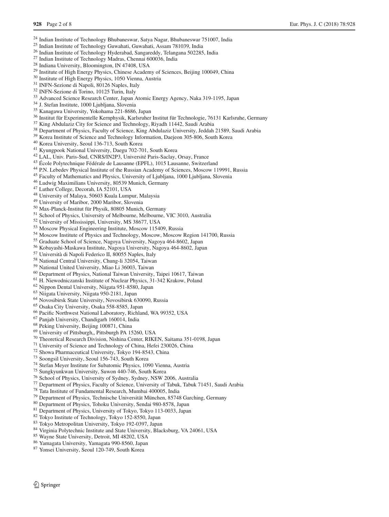- <sup>24</sup> Indian Institute of Technology Bhubaneswar, Satya Nagar, Bhubaneswar 751007, India<sup>25</sup> Indian Institute of Technology Guwahati, Guwahati, Assam 781039, India
- <span id="page-1-21"></span><span id="page-1-9"></span><span id="page-1-8"></span>
- 
- 
- <span id="page-1-39"></span><span id="page-1-32"></span>
- 
- <span id="page-1-51"></span><span id="page-1-40"></span>
- <span id="page-1-43"></span>
- <span id="page-1-58"></span>
- <sup>26</sup> Indian Institute of Technology Hyderabad, Sangareddy, Telangana 502285, India<br>
<sup>27</sup> Indian Institute of Technology Madras, Chennai 600036, India<br>
<sup>28</sup> Indiana University, Bloomington, IN 47408, USA<br>
<sup>29</sup> Institute of
- <span id="page-1-45"></span><span id="page-1-14"></span><span id="page-1-10"></span>
- 
- <sup>36</sup> Institut für Experimentelle Kernphysik, Karlsruher Institut für Technologie, 76131 Karlsruhe, Germany<br><sup>37</sup> King Abdulaziz City for Science and Technology, Riyadh 11442, Saudi Arabia<br><sup>38</sup> Department of Physics, Facult
- <span id="page-1-19"></span><span id="page-1-6"></span><span id="page-1-2"></span>
- <span id="page-1-35"></span>
- 
- <span id="page-1-33"></span>
- <span id="page-1-50"></span><span id="page-1-23"></span>
- 
- 
- <span id="page-1-37"></span><span id="page-1-26"></span><span id="page-1-18"></span>
- <sup>45</sup> Faculty of Mathematics and Physics, University of Ljubljana, 1000 Ljubljana, Slovenia<br><sup>46</sup> Ludwig Maximilians University, 80539 Munich, Germany<br><sup>47</sup> Luther College, Decorah, IA 52101, USA<br><sup>48</sup> University of Malaya, 5
- 
- <span id="page-1-49"></span><span id="page-1-48"></span>
- <span id="page-1-13"></span>
- <span id="page-1-53"></span><span id="page-1-36"></span><span id="page-1-16"></span>
- <sup>50</sup> Max-Planck-Institut für Physik, 80805 Munich, Germany
- <sup>51</sup> School of Physics, University of Melbourne, Melbourne, VIC 3010, Australia
- <span id="page-1-42"></span><sup>52</sup> University of Mississippi, University, MS 38677, USA
- <span id="page-1-4"></span><sup>53</sup> Moscow Physical Engineering Institute, Moscow 115409, Russia
- <span id="page-1-28"></span><sup>54</sup> Moscow Institute of Physics and Technology, Moscow, Moscow Region 141700, Russia
- <span id="page-1-29"></span><sup>55</sup> Graduate School of Science, Nagoya University, Nagoya 464-8602, Japan
- <span id="page-1-41"></span><sup>56</sup> Kobayashi-Maskawa Institute, Nagoya University, Nagoya 464-8602, Japan
- <sup>57</sup> Università di Napoli Federico II, 80055 Naples, Italy
- <sup>58</sup> National Central University, Chung-li 32054, Taiwan<sup>59</sup> National United University, Miao Li 36003, Taiwan
- <span id="page-1-60"></span><span id="page-1-17"></span><span id="page-1-15"></span><span id="page-1-12"></span>
- <sup>60</sup> Department of Physics, National Taiwan University, Taipei 10617, Taiwan  $^{61}$  H. Niewodniczanski Institute of Nuclear Physics, 31-342 Krakow, Poland  $^{62}$  Nippon Dental University, Niigata 951-8580, Japan  $^{63}$  Ni
- 
- <span id="page-1-46"></span><span id="page-1-27"></span>
- <span id="page-1-11"></span>
- <span id="page-1-31"></span>
- <span id="page-1-24"></span><span id="page-1-7"></span>
- <sup>66</sup> Pacific Northwest National Laboratory, Richland, WA 99352, USA  $^{67}$  Panjab University, Chandigarh 160014, India  $^{68}$  Peking University, Beijing 100871, China  $^{69}$  University of Pittsburgh. Pittsburgh PA 15260.
- <span id="page-1-0"></span>
- 
- <span id="page-1-62"></span><span id="page-1-56"></span><span id="page-1-44"></span>
- <sup>70</sup> Theoretical Research Division, Nishina Center, RIKEN, Saitama 351-0198, Japan<sup>71</sup> University of Science and Technology of China, Hefei 230026, China<br><sup>71</sup> University of Science and Technology of China, Hefei 230026, C
- 
- <span id="page-1-57"></span><span id="page-1-34"></span>
- <span id="page-1-61"></span>
- 
- <span id="page-1-59"></span><span id="page-1-20"></span><span id="page-1-3"></span>
- 
- <sup>76</sup> School of Physics, University of Sydney, Sydney, NSW 2006, Australia<br>
<sup>77</sup> Department of Physics, Faculty of Science, University of Tabuk, Tabuk 71451, Saudi Arabia<br>
<sup>78</sup> Tata Institute of Fundamental Research, Mumbai
- <span id="page-1-47"></span><span id="page-1-5"></span>
- 
- <span id="page-1-30"></span><span id="page-1-1"></span>
- <span id="page-1-54"></span>
- <span id="page-1-55"></span>
- <span id="page-1-25"></span>
- 
- <span id="page-1-52"></span><span id="page-1-22"></span>
- <sup>86</sup> Yamagata University, Yamagata 990-8560, Japan 87 Yonsei University, Seoul 120-749, South Korea
- <span id="page-1-38"></span>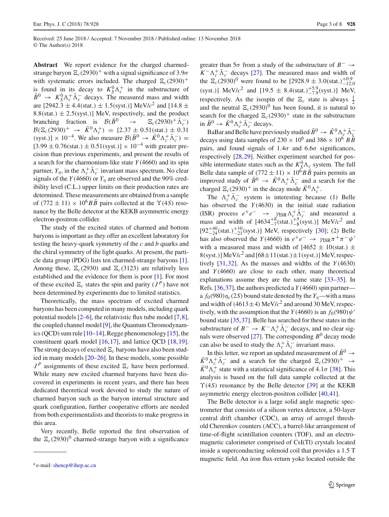**Abstract** We report evidence for the charged charmedstrange baryon  $\Xi_c(2930)^+$  with a signal significance of 3.9 $\sigma$ with systematic errors included. The charged  $\Xi_c(2930)^+$ is found in its decay to  $K_S^0 \Lambda_c^+$  in the substructure of  $\bar{B}^0 \rightarrow K_S^0 \Lambda_c^+ \bar{\Lambda}_c^-$  decays. The measured mass and width are [2942.3  $\pm$  4.4(stat.)  $\pm$  1.5(syst.)] MeV/ $c^2$  and [14.8  $\pm$ 8.8(stat.)  $\pm$  2.5(syst.)] MeV, respectively, and the product branching fraction is  $\mathcal{B}(\bar{B}^0 \rightarrow \Xi_c(2930)^+ \bar{\Lambda}_c^-)$ branching fraction is  $\mathcal{B}(\bar{B}^0)$  $c(2930)^{+}\Lambda_c^{-}$  $B(\Xi_c(2930)^+ \rightarrow \bar{K}^0 \Lambda_c^+) = [2.37 \pm 0.51(\text{stat.}) \pm 0.31$ (syst.)] × 10<sup>-4</sup>. We also measure  $\mathcal{B}(\bar{B}^0 \rightarrow \bar{K}^0 \Lambda_c^+ \bar{\Lambda}_c^-)$  =  $[3.99 \pm 0.76(stat.) \pm 0.51(syst.)] \times 10^{-4}$  with greater precision than previous experiments, and present the results of a search for the charmonium-like state *Y* (4660) and its spin partner,  $Y_{\eta}$ , in the  $\Lambda_c^+ \Lambda_c^-$  invariant mass spectrum. No clear signals of the *Y*(4660) or  $Y_n$  are observed and the 90% credibility level (C.L.) upper limits on their production rates are determined. These measurements are obtained from a sample of  $(772 \pm 11) \times 10^6$ *BB* pairs collected at the  $\Upsilon(4S)$  resonance by the Belle detector at the KEKB asymmetric energy electron-positron collider.

The study of the excited states of charmed and bottom baryons is important as they offer an excellent laboratory for testing the heavy-quark symmetry of the *c* and *b* quarks and the chiral symmetry of the light quarks. At present, the particle data group (PDG) lists ten charmed-strange baryons [\[1](#page-6-0)]. Among these,  $\Xi_c(2930)$  and  $\Xi_c(3123)$  are relatively less established and the evidence for them is poor [\[1\]](#page-6-0). For most of these excited  $\mathbb{E}_c$  states the spin and parity  $(J^P)$  have not been determined by experiments due to limited statistics.

Theoretically, the mass spectrum of excited charmed baryons has been computed in many models, including quark potential models [\[2](#page-6-1)[–6](#page-6-2)], the relativistic flux tube model [\[7](#page-6-3)[,8](#page-6-4)], the coupled channel model [\[9\]](#page-7-0), the Quantum Chromodynamics (QCD) sum rule  $[10-14]$  $[10-14]$ , Regge phenomenology  $[15]$ , the constituent quark model [\[16](#page-7-4),[17](#page-7-5)], and lattice QCD [\[18](#page-7-6)[,19](#page-7-7)]. The strong decays of excited  $\Xi_c$  baryons have also been studied in many models [\[20](#page-7-8)[–26\]](#page-7-9). In these models, some possible  $J<sup>P</sup>$  assignments of these excited  $\Xi_c$  have been performed. While many new excited charmed baryons have been discovered in experiments in recent years, and there has been dedicated theoretical work devoted to study the nature of charmed baryon such as the baryon internal structure and quark configuration, further cooperative efforts are needed from both experimentalists and theorists to make progress in this area.

Very recently, Belle reported the first observation of the  $\mathbb{E}_c(2930)^0$  charmed-strange baryon with a significance

greater than 5 $\sigma$  from a study of the substructure of  $B^- \rightarrow$  $K^- \Lambda_c^+ \Lambda_c^-$  decays [\[27\]](#page-7-10). The measured mass and width of the  $\overline{E}_c(2930)^0$  were found to be  $[2928.9 \pm 3.0(\text{stat.})^{+0.9}_{-12.0})$ (syst.)] MeV/ $c^2$  and [19.5  $\pm$  8.4(stat.)<sup>+5.9</sup>(syst.)] MeV, respectively. As the isospin of the  $\Xi_c$  state is always  $\frac{1}{2}$ and the neutral  $\mathbb{E}_c(2930)^0$  has been found, it is natural to search for the charged  $\Xi_c(2930)^+$  state in the substructure in  $\bar{B}^0 \to \bar{K}^0 \Lambda_c^+ \bar{\Lambda}_c^-$  decays.

BaBar and Belle have previously studied  $\bar{B}^0 \to \bar{K}^0 \Lambda_c^+ \bar{\Lambda}_c^$ decays using data samples of  $230 \times 10^6$  and  $386 \times 10^6$  *B* $\overline{B}$ pairs, and found signals of  $1.4\sigma$  and  $6.6\sigma$  significances. respectively [\[28](#page-7-11),[29\]](#page-7-12). Neither experiment searched for possible intermediate states such as the  $K_S^0 \Lambda_{\underline{c}}$  system. The full Belle data sample of  $(772 \pm 11) \times 10^6 B\overline{B}$  pairs permits an improved study of  $\bar{B}^0 \to \bar{K}^0 \Lambda_c^+ \bar{\Lambda}_c^-$  and a search for the charged  $\Xi_c(2930)^+$  in the decay mode  $\bar{K}^0 \Lambda_c^+$ .

The  $\Lambda_c^+ \Lambda_c^-$  system is interesting because (1) Belle has observed the  $Y(4630)$  in the initial state radiation (ISR) process  $e^+e^ \rightarrow \gamma_{\text{ISR}} \Lambda_c^+ \Lambda_c^-$  and measured a mass and width of  $[4634^{+8}_{-7}(\text{stat.})^{+5}_{-8}(\text{syst.})]$  MeV/ $c^2$  and  $[92^{+40}_{-24}$ (stat.)<sup>+10</sup><sub>-21</sub>(syst.)] MeV, respectively [\[30\]](#page-7-13); (2) Belle has also observed the *Y*(4660) in  $e^+e^-$  →  $\gamma_{\rm ISR}\pi^+\pi^-\psi^+$ with a measured mass and width of  $[4652 \pm 10(\text{stat.}) \pm$  $8$ (syst.)] MeV/ $c^2$  and  $[68 \pm 11$ (stat.) $\pm 1$ (syst.)] MeV, respectively [\[31](#page-7-14)[,32\]](#page-7-15). As the masses and widths of the *Y* (4630) and *Y* (4660) are close to each other, many theoretical explanations assume they are the same state [\[33](#page-7-16)[–35\]](#page-7-17). In Refs.  $[36,37]$  $[36,37]$  $[36,37]$ , the authors predicted a  $Y(4660)$  spin partner a  $f_0(980)\eta_c(2S)$  bound state denoted by the  $Y_n$ —with a mass and width of  $(4613\pm4)$  MeV/ $c^2$  and around 30 MeV, respectively, with the assumption that the *Y* (4660) is an  $f_0(980)\psi'$ bound state [\[35](#page-7-17),[37\]](#page-7-19). Belle has searched for these states in the substructure of  $B^- \to K^- \Lambda_c^+ \Lambda_c^-$  decays, and no clear sig-nals were observed [\[27](#page-7-10)]. The corresponding  $B^0$  decay mode can also be used to study the  $\Lambda_c^+ \Lambda_c^-$  invariant mass.

In this letter, we report an updated measurement of  $\bar{B}^0 \rightarrow$  $\bar{K}_{c}^{0}\Lambda_{c}^{+}\bar{\Lambda}_{c}^{-}$  and a search for the charged  $\Xi_{c}(2930)^{+} \rightarrow$  $\bar{K}^0 \Lambda_c^+$  state with a statistical significance of 4.1 $\sigma$  [\[38](#page-7-20)]. This analysis is based on the full data sample collected at the  $\Upsilon(4S)$  resonance by the Belle detector [\[39](#page-7-21)] at the KEKB asymmetric energy electron-positron collider [\[40](#page-7-22),[41\]](#page-7-23).

The Belle detector is a large solid angle magnetic spectrometer that consists of a silicon vertex detector, a 50-layer central drift chamber (CDC), an array of aerogel threshold Cherenkov counters (ACC), a barrel-like arrangement of time-of-flight scintillation counters (TOF), and an electromagnetic calorimeter comprised of CsI(Tl) crystals located inside a superconducting solenoid coil that provides a 1.5 T magnetic field. An iron flux-return yoke located outside the

a e-mail: [shencp@ihep.ac.cn](mailto:shencp@ihep.ac.cn)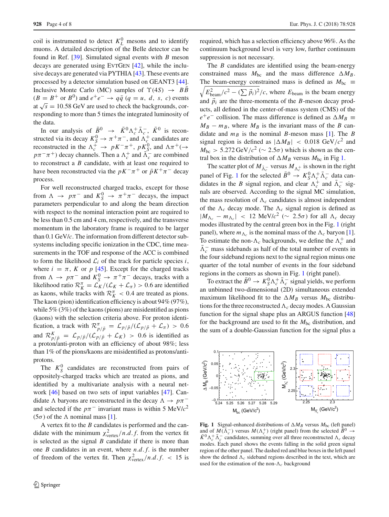coil is instrumented to detect  $K_L^0$  mesons and to identify muons. A detailed description of the Belle detector can be found in Ref. [\[39](#page-7-21)]. Simulated signal events with *B* meson decays are generated using EVTGEN [\[42\]](#page-7-24), while the inclusive decays are generated via PYTHIA [\[43](#page-7-25)]. These events are processed by a detector simulation based on GEANT3 [\[44](#page-7-26)]. Inclusive Monte Carlo (MC) samples of  $\Upsilon(4S) \rightarrow B\overline{B}$  $(B = B^+ \text{ or } B^0)$  and  $e^+e^- \rightarrow q\bar{q}$  ( $q = u, d, s, c$ ) events at  $\sqrt{s}$  = 10.58 GeV are used to check the backgrounds, corresponding to more than 5 times the integrated luminosity of the data.

In our analysis of  $\bar{B}^0 \rightarrow \bar{K}^0 \Lambda_c^+ \bar{\Lambda}_c^-$ ,  $\bar{K}^0$  is reconstructed via its decay  $K_S^0 \to \pi^+ \pi^-$ , and  $\Lambda_c^+$  candidates are reconstructed in the  $\Lambda_c^+ \to pK^-\pi^+$ ,  $pK_S^0$ , and  $\Lambda\pi^+$ ( $\to$  $p\pi^{-}\pi^{+}$ ) decay channels. Then a  $\Lambda_c^{+}$  and  $\Lambda_c^{-}$  are combined to reconstruct a *B* candidate, with at least one required to have been reconstructed via the  $pK^-\pi^+$  or  $\bar{p}K^+\pi^-$  decay process.

For well reconstructed charged tracks, except for those from  $\Lambda \to p\pi^-$  and  $K_S^0 \to \pi^+\pi^-$  decays, the impact parameters perpendicular to and along the beam direction with respect to the nominal interaction point are required to be less than 0.5 cm and 4 cm, respectively, and the transverse momentum in the laboratory frame is required to be larger than 0.1 GeV/*c*. The information from different detector subsystems including specific ionization in the CDC, time measurements in the TOF and response of the ACC is combined to form the likelihood  $\mathcal{L}_i$  of the track for particle species *i*, where  $i = \pi$ , *K* or *p* [\[45](#page-7-27)]. Except for the charged tracks from  $\Lambda \to p\pi^-$  and  $K_S^0 \to \pi^+\pi^-$  decays, tracks with a likelihood ratio  $\mathcal{R}_K^{\pi} = \mathcal{L}_K / (\mathcal{L}_K + \mathcal{L}_{\pi}) > 0.6$  are identified as kaons, while tracks with  $\mathcal{R}_K^{\pi} < 0.4$  are treated as pions. The kaon (pion) identification efficiency is about 94% (97%), while 5% (3%) of the kaons (pions) are misidentified as pions (kaons) with the selection criteria above. For proton identification, a track with  $\mathcal{R}_{p/\bar{p}}^{\pi} = \mathcal{L}_{p/\bar{p}}/(\mathcal{L}_{p/\bar{p}} + \mathcal{L}_{\pi}) > 0.6$ and  $\mathcal{R}_{p/\bar{p}}^K = \mathcal{L}_{p/\bar{p}}/(\mathcal{L}_{p/\bar{p}} + \mathcal{L}_K) > 0.6$  is identified as a proton/anti-proton with an efficiency of about 98%; less than 1% of the pions/kaons are misidentified as protons/antiprotons.

The  $K_S^0$  candidates are reconstructed from pairs of oppositely-charged tracks which are treated as pions, and identified by a multivariate analysis with a neural network [\[46](#page-7-28)] based on two sets of input variables [\[47](#page-7-29)]. Candidate  $\Lambda$  baryons are reconstructed in the decay  $\Lambda \to p\pi^$ and selected if the  $p\pi$ <sup>-</sup> invariant mass is within 5 MeV/ $c^2$ (5 $\sigma$ ) of the  $\Lambda$  nominal mass [\[1](#page-6-0)].

A vertex fit to the *B* candidates is performed and the candidate with the minimum  $\chi^2_{\text{vertex}}/n.d.f$ . from the vertex fit is selected as the signal *B* candidate if there is more than one *B* candidates in an event, where *n*.*d*. *f*. is the number of freedom of the vertex fit. Then  $\chi^2_{\text{vertex}}/n.d.f. < 15$  is

required, which has a selection efficiency above 96%. As the continuum background level is very low, further continuum suppression is not necessary.

The *B* candidates are identified using the beam-energy constrained mass  $M_{bc}$  and the mass difference  $\Delta M_B$ . The beam-energy constrained mass is defined as  $M_{bc} \equiv$  $\sqrt{E_{\text{beam}}^2/c^2 - (\sum \vec{p}_i)^2}/c$ , where  $E_{\text{beam}}$  is the beam energy and  $\vec{p}_i$  are the three-momenta of the *B*-meson decay products, all defined in the center-of-mass system (CMS) of the  $e^+e^-$  collision. The mass difference is defined as  $\Delta M_B \equiv$  $M_B - m_B$ , where  $M_B$  is the invariant mass of the *B* candidate and  $m_B$  is the nominal *B*-meson mass [\[1](#page-6-0)]. The *B* signal region is defined as  $|\Delta M_B| < 0.018 \text{ GeV}/c^2$  and  $M_{\text{bc}} > 5.272 \,\text{GeV}/c^2 \left(\sim 2.5\sigma\right)$  which is shown as the central box in the distribution of  $\Delta M_B$  versus  $M_{bc}$  in Fig [1.](#page-3-0)

The scatter plot of  $M_{\bar{\Lambda}_c^-}$  versus  $M_{\Lambda_c^+}$  is shown in the right panel of Fig. [1](#page-3-0) for the selected  $\bar{B}^0 \to K_S^0 \Lambda_c^+ \bar{\Lambda}_c^-$  data candidates in the *B* signal region, and clear  $\Lambda_c^+$  and  $\Lambda_c^-$  signals are observed. According to the signal MC simulation, the mass resolution of  $\Lambda_c$  candidates is almost independent of the  $\Lambda_c$  decay mode. The  $\Lambda_c$  signal region is defined as  $|M_{\Lambda_c} - m_{\Lambda_c}|$  < 12 MeV/ $c^2$  (∼ 2.5σ) for all  $\Lambda_c$  decay modes illustrated by the central green box in the Fig. [1](#page-3-0) (right panel), where  $m_{\Lambda_c}$  is the nominal mass of the  $\Lambda_c$  baryon [\[1](#page-6-0)]. To estimate the non- $\Lambda_c$  backgrounds, we define the  $\Lambda_c^+$  and  $\Lambda_c^-$  mass sidebands as half of the total number of events in the four sideband regions next to the signal region minus one quarter of the total number of events in the four sideband regions in the corners as shown in Fig. [1](#page-3-0) (right panel).

To extract the  $\bar{B}^0 \to K_S^0 \Lambda_c^+ \bar{\Lambda}_c^-$  signal yields, we perform an unbinned two-dimensional (2D) simultaneous extended maximum likelihood fit to the  $\Delta M_B$  versus  $M_{bc}$  distributions for the three reconstructed  $\Lambda_c$  decay modes. A Gaussian function for the signal shape plus an ARGUS function [\[48\]](#page-7-30) for the background are used to fit the  $M_{bc}$  distribution, and the sum of a double-Gaussian function for the signal plus a



<span id="page-3-0"></span>**Fig. 1** Signal-enhanced distributions of  $\Delta M_B$  versus  $M_{bc}$  (left panel) and of  $M(\bar{\Lambda}_c^-)$  versus  $M(\Lambda_c^+)$  (right panel) from the selected  $\bar{B}^0 \to$  $\bar{K}^0 \Lambda_c^+ \bar{\Lambda}_c^-$  candidates, summing over all three reconstructed  $\Lambda_c$  decay modes. Each panel shows the events falling in the solid green signal region of the other panel. The dashed red and blue boxes in the left panel show the defined  $\Lambda_c$  sideband regions described in the text, which are used for the estimation of the non- $\Lambda_c$  background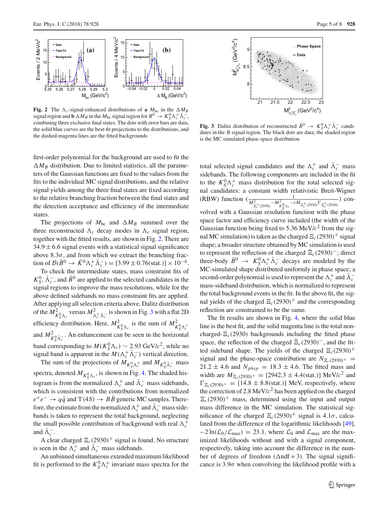

<span id="page-4-0"></span>**Fig. 2** The  $\Lambda_c$ -signal-enhanced distributions of **a**  $M_{bc}$  in the  $\Delta M_B$ signal region and **b**  $\Delta M_B$  in the  $M_{bc}$  signal region for  $B^0 \to K_S^0 \Lambda_c^+ \overline{\Lambda}_c^-$ , combining three exclusive final states. The dots with error bars are data, the solid blue curves are the best-fit projections to the distributions, and the dashed magenta lines are the fitted backgrounds

first-order polynomial for the background are used to fit the  $\Delta M_B$  distribution. Due to limited statistics, all the parameters of the Gaussian functions are fixed to the values from the fits to the individual MC signal distributions, and the relative signal yields among the three final states are fixed according to the relative branching fraction between the final states and the detection acceptance and efficiency of the intermediate states.

The projections of  $M_{bc}$  and  $\Delta M_B$  summed over the three reconstructed  $\Lambda_c$  decay modes in  $\Lambda_c$  signal region, together with the fitted results, are shown in Fig. [2.](#page-4-0) There are  $34.9 \pm 6.6$  signal events with a statistical signal significance above  $8.3\sigma$ , and from which we extract the branching fraction of  $\mathcal{B}(\bar{B}^0 \to \bar{K}^0 \Lambda_c^+ \bar{\Lambda}_c^-) = [3.99 \pm 0.76 \text{(stat.)}] \times 10^{-4}$ .

To check the intermediate states, mass constraint fits of  $K_S^0$ ,  $\bar{\Lambda}_c^-$ , and  $\bar{B}^0$  are applied to the selected candidates in the signal regions to improve the mass resolutions, while for the above defined sidebands no mass constraint fits are applied. After applying all selection criteria above, Dalitz distribution of the  $M^2_{K^0_S \Lambda_c}$  versus  $M^2_{\Lambda_c^+ \bar{\Lambda}_c^-}$  is shown in Fig. [3](#page-4-1) with a flat 2D efficiency distribution. Here,  $M_{K_S^0 \Lambda_c}^2$  is the sum of  $M_{K_S^0 \Lambda_c^+}^2$ and  $M^2_{K^0_S \bar{\Lambda}^-_c}$ . An enhancement can be seen in the horizontal band corresponding to  $M(K_S^0 \Lambda_c) \sim 2.93 \text{ GeV}/c^2$ , while no signal band is apparent in the  $M(\Lambda_c^+\Lambda_c^-)$  vertical direction.

The sum of the projections of  $M_{K^0_S \Lambda^+_c}$  and  $M_{K^0_S \bar{\Lambda}^-_c}$  mass spectra, denoted  $M_{K^0_S \Lambda_c}$ , is shown in Fig. [4.](#page-5-0) The shaded histogram is from the normalized  $\Lambda_c^+$  and  $\Lambda_c^-$  mass sidebands, which is consistent with the contributions from normalized  $e^+e^- \rightarrow q\bar{q}$  and  $\Upsilon(4S) \rightarrow B\bar{B}$  generic MC samples. Therefore, the estimate from the normalized  $\Lambda_c^+$  and  $\Lambda_c^-$  mass sidebands is taken to represent the total background, neglecting the small possible contribution of background with real  $\Lambda_c^+$ and  $\Lambda_c^-$ .

A clear charged  $\Xi_c(2930)^+$  signal is found. No structure is seen in the  $\Lambda_c^+$  and  $\Lambda_c^-$  mass sidebands.

An unbinned simultaneous extended maximum likelihood fit is performed to the  $K_S^0 \Lambda_c^+$  invariant mass spectra for the



<span id="page-4-1"></span>**Fig. 3** Dalitz distribution of reconstructed  $\bar{B}^0 \rightarrow K_S^0 \Lambda_c^+ \bar{\Lambda}_c^-$  candidates in the *B* signal region. The black dots are data; the shaded region is the MC simulated phase-space distribution

total selected signal candidates and the  $\Lambda_c^+$  and  $\Lambda_c^-$  mass sidebands. The following components are included in the fit to the  $K_S^0 \Lambda_c^+$  mass distribution for the total selected signal candidates: a constant width relativistic Breit-Wigner (RBW) function  $\left(\frac{1}{M_{\frac{2}{\epsilon_c^+}(2930)}^2 - M_{K_0^0\Lambda_c}^2 - iM_{\frac{2}{\epsilon_c^+}(2930)}\Gamma_{\frac{2}{\epsilon_c^+}(2930)}}\right)$ ) convolved with a Gaussian resolution function with the phase space factor and efficiency curve included (the width of the Gaussian function being fixed to 5.36 MeV/*c*<sup>2</sup> from the signal MC simulation) is taken as the charged  $\Xi_c(2930)^+$  signal shape; a broader structure obtained by MC simulation is used to represent the reflection of the charged  $\Xi_c(2930)$ <sup>-</sup>; direct three-body  $\bar{B}^0 \rightarrow K_S^0 \Lambda_c^+ \bar{\Lambda}_c^-$  decays are modeled by the MC-simulated shape distributed uniformly in phase space; a second-order polynomial is used to represent the  $\Lambda_c^+$  and  $\Lambda_c^$ mass-sideband distribution, which is normalized to represent the total background events in the fit. In the above fit, the signal yields of the charged  $\Xi_c(2930)^+$  and the corresponding reflection are constrained to be the same.

The fit results are shown in Fig. [4,](#page-5-0) where the solid blue line is the best fit, and the solid magenta line is the total noncharged- $\Xi_c(2930)$  backgrounds including the fitted phase space, the reflection of the charged  $\Xi_c(2930)^-$ , and the fitted sideband shape. The yields of the charged  $\Xi_c(2930)^+$ signal and the phase-space contribution are  $N_{\mathcal{E}_c(2930)^+}$  =  $21.2 \pm 4.6$  and  $N_{phys} = 18.3 \pm 4.6$ . The fitted mass and width are  $M_{\Xi_c(2930)^+} = [2942.3 \pm 4.4 \text{(stat.)}] \text{ MeV}/c^2 \text{ and}$  $\Gamma_{\Xi_c(2930)^+} = [14.8 \pm 8.8 \text{(stat.)}] \text{ MeV, respectively, where}$ the correction of 2.8 MeV/ $c<sup>2</sup>$  has been applied on the charged  $\Xi_c(2930)^+$  mass, determined using the input and output mass difference in the MC simulation. The statistical significance of the charged  $\Xi_c(2930)^+$  signal is 4.1 $\sigma$ , calculated from the difference of the logarithmic likelihoods [\[49](#page-7-31)],  $-2 \ln(\mathcal{L}_0/\mathcal{L}_{\text{max}}) = 23.1$ , where  $\mathcal{L}_0$  and  $\mathcal{L}_{\text{max}}$  are the maximized likelihoods without and with a signal component, respectively, taking into account the difference in the number of degrees of freedom ( $\Delta$ ndf = 3). The signal significance is  $3.9\sigma$  when convolving the likelihood profile with a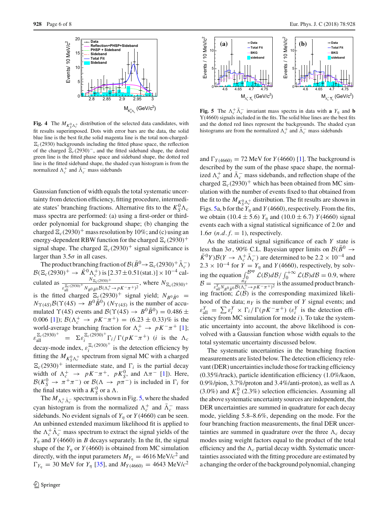

<span id="page-5-0"></span>**Fig. 4** The  $M_{K^0_S \Lambda^+_{c}}$  distribution of the selected data candidates, with fit results superimposed. Dots with error bars are the data, the solid blue line is the best fit,the solid magenta line is the total non-charged-  $\Xi_c$ (2930) backgrounds including the fitted phase space, the reflection of the charged  $\mathbb{E}_c(2930)^-$ , and the fitted sideband shape, the dotted green line is the fitted phase space and sideband shape, the dotted red line is the fitted sideband shape, the shaded cyan histogram is from the normalized  $\Lambda_c^+$  and  $\Lambda_c^-$  mass sidebands

Gaussian function of width equals the total systematic uncertainty from detection efficiency, fitting procedure, intermediate states' branching fractions. Alternative fits to the  $K_S^0 \Lambda_c$ mass spectra are performed: (a) using a first-order or thirdorder polynomial for background shape; (b) changing the charged  $\Xi_c(2930)^+$  mass resolution by 10%; and (c) using an energy-dependent RBW function for the charged  $\Xi_c(2930)^+$ signal shape. The charged  $\Xi_c(2930)^+$  signal significance is larger than  $3.5\sigma$  in all cases.

The product branching fraction of  $\mathcal{B}(\bar{B}^0 \to \Xi_c(2930)^+ \bar{\Lambda}_c^-)$  $B(\Xi_c(2930)^+ \to \bar{K}^0 \Lambda_c^+)$  is [2.37±0.51(stat.)] × 10<sup>-4</sup> calculated as  $\frac{N_{\Xi_c(2930)}+}{N_{\Xi_c(2930)}+}$  $\frac{E_c(2930)^+}{E_{\text{all}}^{2c}(2930)^+} N_{B^0\bar{B}^0} \frac{B(\Lambda_c^+ \to pK^-\pi^+)^2}{B(\Lambda_c^+ \to pK^-\pi^+)^2}$ , where  $N_{\Xi_c(2930)^+}$ is the fitted charged  $E_c(2930)^+$  signal yield;  $N_{B^0\bar{B}^0}$  =  $N_{\Upsilon(4S)}\mathcal{B}(\Upsilon(4S) \rightarrow B^0\overline{B}^0)$  ( $N_{\Upsilon(4S)}$  is the number of accumulated  $\Upsilon(4S)$  events and  $\mathcal{B}(\Upsilon(4S) \rightarrow B^0 \overline{B}^0) = 0.486 \pm \mathcal{B}$ 0.006 [\[1\]](#page-6-0));  $B(\Lambda_c^+ \to pK^-\pi^+) = (6.23 \pm 0.33)\%$  is the world-average branching fraction for  $\Lambda_c^+ \to pK^-\pi^+$  [\[1](#page-6-0)];  $\varepsilon_{\text{all}}^{\Xi_c(2930)^+} = \Sigma \varepsilon_i^{\Xi_c(2930)^+} \Gamma_i / \Gamma(pK^-\pi^+)$  (*i* is the  $\Lambda_c$ decay-mode index,  $\varepsilon_i^{\mathbb{E}_c(2930)^+}$  is the detection efficiency by fitting the  $M_{K^0_S \Lambda^+_c}$  spectrum from signal MC with a charged  $\Xi_c(2930)^+$  intermediate state, and  $\Gamma_i$  is the partial decay width of  $\Lambda_c^+$   $\to$   $pK^-\pi^+$ ,  $pK_S^0$ , and  $\Lambda\pi^-$  [\[1\]](#page-6-0)). Here,  $B(K_S^0 \to \pi^+\pi^-)$  or  $B(\Lambda \to p\pi^-)$  is included in  $\Gamma_i$  for the final states with a  $K_S^0$  or a  $\Lambda$ .

The  $M_{\Lambda_c^+\bar{\Lambda}_c^-}$  spectrum is shown in Fig. [5,](#page-5-1) where the shaded cyan histogram is from the normalized  $\Lambda_c^+$  and  $\Lambda_c^-$  mass sidebands. No evident signals of  $Y_\eta$  or  $Y(4660)$  can be seen. An unbinned extended maximum likelihood fit is applied to the  $\Lambda_c^+ \Lambda_c^-$  mass spectrum to extract the signal yields of the  $Y_n$  and *Y* (4660) in *B* decays separately. In the fit, the signal shape of the  $Y_\eta$  or  $Y(4660)$  is obtained from MC simulation directly, with the input parameters  $M_{Y_n} = 4616 \text{ MeV}/c^2$  and  $\Gamma_{Y_{\eta}} = 30$  MeV for  $Y_{\eta}$  [\[35\]](#page-7-17), and  $M_{Y(4660)} = 4643$  MeV/ $c^2$ 



<span id="page-5-1"></span>**Fig. 5** The  $\Lambda_c^+ \Lambda_c^-$  invariant mass spectra in data with **a**  $Y_\eta$  and **b** Y(4660) signals included in the fits. The solid blue lines are the best fits and the dotted red lines represent the backgrounds. The shaded cyan histograms are from the normalized  $\Lambda_c^+$  and  $\Lambda_c^-$  mass sidebands

and  $\Gamma_{Y(4660)} = 72 \text{ MeV}$  for *Y* (4660) [\[1\]](#page-6-0). The background is described by the sum of the phase space shape, the normalized  $\Lambda_c^+$  and  $\Lambda_c^-$  mass sidebands, and reflection shape of the charged  $\Xi_c(2930)^+$  which has been obtained from MC simulation with the number of events fixed to that obtained from the fit to the  $M_{K^0_S \Lambda^+_c}$  distribution. The fit results are shown in Figs. [5a](#page-5-1), b for the  $Y_n$  and  $Y$  (4660), respectively. From the fits, we obtain (10.4  $\pm$  5.6)  $Y_{\eta}$  and (10.0  $\pm$  6.7)  $Y$  (4660) signal events each with a signal statistical significance of  $2.0\sigma$  and  $1.6\sigma$  (*n.d.f.* = 1), respectively.

As the statistical signal significance of each *Y* state is less than 3 $\sigma$ , 90% C.L. Bayesian upper limits on  $\mathcal{B}(\bar{B}^0 \rightarrow$  $(\bar{K}^0 Y) \mathcal{B}(Y \to \Lambda_c^+ \bar{\Lambda}_c^-)$  are determined to be 2.2 × 10<sup>-4</sup> and  $2.3 \times 10^{-4}$  for  $Y = Y_\eta$  and *Y* (4660), respectively, by solving the equation  $\int_0^{\mathcal{B}^{up}} \mathcal{L}(\mathcal{B}) d\mathcal{B} / \int_0^{+\infty} \mathcal{L}(\mathcal{B}) d\mathcal{B} = 0.9$ , where  $B = \frac{n\gamma}{\epsilon_{all}^Y N_{B^0 \bar{B}^0} B(\Lambda_c^+ \to pK^- \pi^+)^2}$  is the assumed product branching fraction;  $\mathcal{L}(\mathcal{B})$  is the corresponding maximized likelihood of the data;  $n_Y$  is the number of  $Y$  signal events; and  $\varepsilon_{\text{all}}^Y = \sum \varepsilon_i^Y \times \Gamma_i / \Gamma(pK^-\pi^+)$  ( $\varepsilon_i^Y$  is the detection efficiency from MC simulation for mode *i*). To take the systematic uncertainty into account, the above likelihood is convolved with a Gaussian function whose width equals to the total systematic uncertainty discussed below.

The systematic uncertainties in the branching fraction measurements are listed below. The detection efficiency relevant (DER) uncertainties include those for tracking efficiency (0.35%/track), particle identification efficiency (1.0%/kaon, 0.9%/pion, 3.7%/proton and 3.4%/anti-proton), as well as  $\Lambda$  $(3.0\%)$  and  $K_S^0$  (2.3%) selection efficiencies. Assuming all the above systematic uncertainty sources are independent, the DER uncertainties are summed in quadrature for each decay mode, yielding 5.8–8.6%, depending on the mode. For the four branching fraction measurements, the final DER uncertainties are summed in quadrature over the three  $\Lambda_c$  decay modes using weight factors equal to the product of the total efficiency and the  $\Lambda_c$  partial decay width. Systematic uncertainties associated with the fitting procedure are estimated by a changing the order of the background polynomial, changing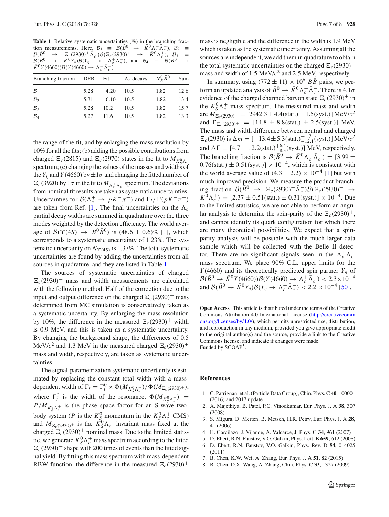<span id="page-6-5"></span>Table 1 Relative systematic uncertainties (%) in the branching fraction measurements. Here,  $B_1 \equiv \mathcal{B}(\bar{B}^0 \rightarrow \bar{K}^0 \Lambda_c^+ \bar{\Lambda}_c^-), \; B_2 \equiv$  $B(\bar{B}^0 \to \Xi_c (2930)^+ \bar{\Lambda}_c^-) B(\Xi_c (2930)^+ \to \bar{K}^0 \Lambda_c^+), \; B_3 =$  $\mathcal{B}(\bar{B}^0 \rightarrow \bar{K}^0 Y_\eta) \mathcal{B}(Y_\eta \rightarrow \Lambda_c^+ \bar{\Lambda}_c^-)$ , and  $\mathcal{B}_4 \equiv \mathcal{B}(\bar{B}^0 \rightarrow \bar{K}^0 Y_\eta) \mathcal{B}(Y_\eta \rightarrow \bar{\Lambda}_c^-)$  $\bar{K}^0 Y(4660)$ *)* $\mathcal{B}(Y(4660) \rightarrow \Lambda_c^+ \bar{\Lambda}_c^-)$ 

| Branching fraction DER Fit |      |      | $\Lambda_c$ decays $N_R^0 \bar{B}^0$ |      | Sum  |
|----------------------------|------|------|--------------------------------------|------|------|
| $\mathcal{B}_1$            | 5.28 | 4.20 | 10.5                                 | 1.82 | 12.6 |
| B <sub>2</sub>             | 5.31 | 6.10 | 10.5                                 | 1.82 | 13.4 |
| $B_3$                      | 5.28 | 10.2 | 10.5                                 | 1.82 | 15.7 |
| $\mathcal{B}_4$            | 5.27 | 11.6 | 10.5                                 | 1.82 | 13.3 |
|                            |      |      |                                      |      |      |

the range of the fit, and by enlarging the mass resolution by 10% for all the fits; (b) adding the possible contributions from charged  $\Xi_c(2815)$  and  $\Xi_c(2970)$  states in the fit to  $M_{K^0_s \Lambda_c}$ spectrum; (c) changing the values of the masses and widths of the  $Y_n$  and  $Y(4660)$  by  $\pm 1\sigma$  and changing the fitted number of  $E_c(3920)$  by 1 $\sigma$  in the fit to  $M_{\Lambda_c^+\bar{\Lambda}_c^-}$  spectrum. The deviations from nominal fit results are taken as systematic uncertainties. Uncertainties for  $\mathcal{B}(\Lambda_c^+ \to pK^-\pi^+)$  and  $\Gamma_i/\Gamma(pK^-\pi^+)$ are taken from Ref. [\[1\]](#page-6-0). The final uncertainties on the  $\Lambda_c$ partial decay widths are summed in quadrature over the three modes weighted by the detection efficiency. The world average of  $\mathcal{B}(\Upsilon(4S) \to B^0 \bar{B}^0)$  is  $(48.6 \pm 0.6)\%$  [\[1\]](#page-6-0), which corresponds to a systematic uncertainty of 1.23%. The systematic uncertainty on  $N_{\Upsilon(4S)}$  is 1.37%. The total systematic uncertainties are found by adding the uncertainties from all sources in quadrature, and they are listed in Table [1.](#page-6-5)

The sources of systematic uncertainties of charged  $\mathbb{E}_c(2930)^+$  mass and width measurements are calculated with the following method. Half of the correction due to the input and output difference on the charged  $\Xi_c(2930)^+$  mass determined from MC simulation is conservatively taken as a systematic uncertainty. By enlarging the mass resolution by 10%, the difference in the measured  $\mathbb{E}_c(2930)^+$  width is 0.9 MeV, and this is taken as a systematic uncertainty. By changing the background shape, the differences of 0.5 MeV/ $c^2$  and 1.3 MeV in the measured charged  $\Xi_c(2930)^+$ mass and width, respectively, are taken as systematic uncertainties.

The signal-parametrization systematic uncertainty is estimated by replacing the constant total width with a massdependent width of  $\Gamma_t = \Gamma_t^0 \times \Phi(M_{K_S^0 \Lambda_c^+}) / \Phi(M_{\Xi_c(2930)^+}),$ where  $\Gamma_t^0$  is the width of the resonance,  $\Phi(M_{K_S^0\Lambda_c^+})$  =  $P/M_{K^0_S \Lambda^+_c}$  is the phase space factor for an S-wave twobody system (*P* is the  $K_S^0$  momentum in the  $K_S^0 \Lambda_c^+$  CMS) and  $M_{\Xi_c(2930)^+}$  is the  $K_S^0 \Lambda_c^+$  invariant mass fixed at the charged  $\Xi_c(2930)^+$  nominal mass. Due to the limited statistic, we generate  $K_S^0 \Lambda_c^+$  mass spectrum according to the fitted  $\Xi_c(2930)^+$  shape with 200 times of events than the fitted signal yield. By fitting this mass spectrum with mass-dependent RBW function, the difference in the measured  $\Xi_c(2930)^+$ 

mass is negligible and the difference in the width is 1.9 MeV which is taken as the systematic uncertainty. Assuming all the sources are independent, we add them in quadrature to obtain the total systematic uncertainties on the charged  $\Xi_c(2930)^+$ mass and width of 1.5 MeV/*c*<sup>2</sup> and 2.5 MeV, respectively.

In summary, using  $(772 \pm 11) \times 10^6$  *BB* pairs, we perform an updated analysis of  $\bar{B}^0 \to \bar{K}^0 \Lambda_c^+ \bar{\Lambda}_c^-$ . There is 4.1*o* evidence of the charged charmed baryon state  $\Xi_c(2930)^+$  in the  $K_S^0 \Lambda_c^+$  mass spectrum. The measured mass and width are  $M_{\Xi_c(2930)^+} = [2942.3 \pm 4.4 \text{(stat.)} \pm 1.5 \text{(syst.)}] \text{ MeV}/c^2$ and  $\Gamma_{\Xi_c(2930)^+} = [14.8 \pm 8.8(\text{stat.}) \pm 2.5(\text{syst.})] \text{ MeV.}$ The mass and width difference between neutral and charged  $E_c$ (2930) is  $\Delta m = [-13.4 \pm 5.3(\text{stat.})^{+1.7}_{-12.1}(\text{syst.})] \text{ MeV}/c^2$ and  $\Delta\Gamma = [4.7 \pm 12.2 \text{(stat.)} ^{+6.4}_{-8.3} \text{(syst.)}] \text{ MeV, respectively.}$ The branching fraction is  $\mathcal{B}(\bar{B}^0 \rightarrow \bar{K}^0 \Lambda_c^+ \bar{\Lambda}_c^-) = [3.99 \pm$  $0.76(stat.) \pm 0.51(syst.) \times 10^{-4}$ , which is consistent with the world average value of  $(4.3 \pm 2.2) \times 10^{-4}$  [\[1](#page-6-0)] but with much improved precision. We measure the product branching fraction  $\mathcal{B}(\bar{B}^0 \rightarrow \Xi_c(2930)^+ \bar{\Lambda}_c^-) \mathcal{B}(\Xi_c(2930)^+ \rightarrow$  $\bar{K}^0 \Lambda_c^+$  = [2.37 ± 0.51(stat.) ± 0.31(syst.)] × 10<sup>-4</sup>. Due to the limited statistics, we are not able to perform an angular analysis to determine the spin-parity of the  $\Xi_c(2930)^+$ , and cannot identify its quark configuration for which there are many theoretical possibilities. We expect that a spinparity analysis will be possible with the much larger data sample which will be collected with the Belle II detector. There are no significant signals seen in the  $\Lambda_c^+ \Lambda_c^$ mass spectrum. We place 90% C.L. upper limits for the *Y*(4660) and its theoretically predicted spin partner  $Y_n$  of  $B(\bar{B}^0 \to \bar{K}^0 Y(4660))B(Y(4660) \to \Lambda_c^+ \bar{\Lambda}_c^-) < 2.3 \times 10^{-4}$ and  $\mathcal{B}(\bar{B}^0 \to \bar{K}^0 Y_\eta) \mathcal{B}(Y_\eta \to \Lambda_c^+ \bar{\Lambda}_c^-) < 2.2 \times 10^{-4}$  [\[50\]](#page-7-32).

**Open Access** This article is distributed under the terms of the Creative Commons Attribution 4.0 International License [\(http://creativecomm](http://creativecommons.org/licenses/by/4.0/) [ons.org/licenses/by/4.0/\)](http://creativecommons.org/licenses/by/4.0/), which permits unrestricted use, distribution, and reproduction in any medium, provided you give appropriate credit to the original author(s) and the source, provide a link to the Creative Commons license, and indicate if changes were made. Funded by SCOAP<sup>3</sup>.

## **References**

- <span id="page-6-0"></span>1. C. Patrignani et al. (Particle Data Group), Chin. Phys. C **40**, 100001 (2016) and 2017 update
- <span id="page-6-1"></span>2. A. Majethiya, B. Patel, P.C. Vinodkumar, Eur. Phys. J. A **38**, 307 (2008)
- 3. S. Migura, D. Merten, B. Metsch, H.R. Petry, Eur. Phys. J. A **28**, 41 (2006)
- 4. H. Garcilazo, J. Vijande, A. Valcarce, J. Phys. G **34**, 961 (2007)
- 5. D. Ebert, R.N. Faustov, V.O. Galkin, Phys. Lett. B **659**, 612 (2008)
- <span id="page-6-2"></span>6. D. Ebert, R.N. Faustov, V.O. Galkin, Phys. Rev. D **84**, 014025 (2011)
- <span id="page-6-3"></span>7. B. Chen, K.W. Wei, A. Zhang, Eur. Phys. J. A **51**, 82 (2015)
- <span id="page-6-4"></span>8. B. Chen, D.X. Wang, A. Zhang, Chin. Phys. C **33**, 1327 (2009)